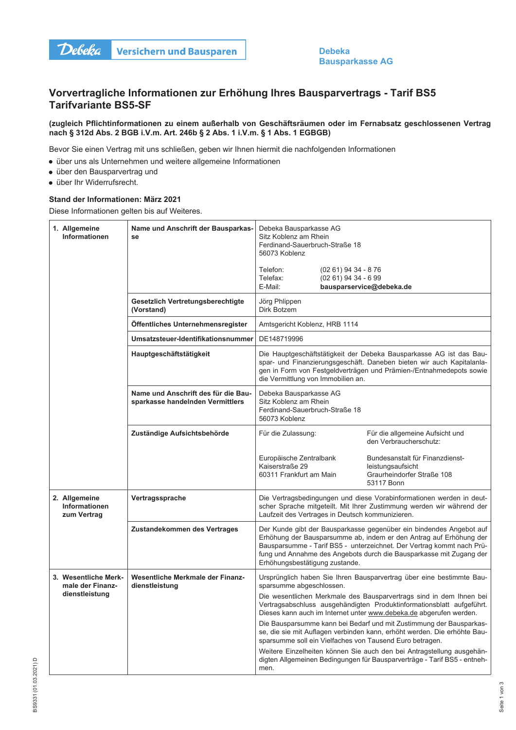

**Debeka Bausparkasse AG** 

## Vorvertragliche Informationen zur Erhöhung Ihres Bausparvertrags - Tarif BS5 **Tarifvariante BS5-SF**

## (zugleich Pflichtinformationen zu einem außerhalb von Geschäftsräumen oder im Fernabsatz geschlossenen Vertrag nach § 312d Abs. 2 BGB i.V.m. Art. 246b § 2 Abs. 1 i.V.m. § 1 Abs. 1 EGBGB)

Bevor Sie einen Vertrag mit uns schließen, geben wir Ihnen hiermit die nachfolgenden Informationen

- über uns als Unternehmen und weitere allgemeine Informationen
- · über den Bausparvertrag und
- · über Ihr Widerrufsrecht.

## Stand der Informationen: März 2021

Diese Informationen gelten bis auf Weiteres.

| 1. Allgemeine<br><b>Informationen</b>                | Name und Anschrift der Bausparkas-<br>se                                | Debeka Bausparkasse AG<br>Sitz Koblenz am Rhein<br>Ferdinand-Sauerbruch-Straße 18<br>56073 Koblenz                                                                                                                                                                                                                                                                                                                                |                                               |                                                                                                                                                                                                                                                                                           |
|------------------------------------------------------|-------------------------------------------------------------------------|-----------------------------------------------------------------------------------------------------------------------------------------------------------------------------------------------------------------------------------------------------------------------------------------------------------------------------------------------------------------------------------------------------------------------------------|-----------------------------------------------|-------------------------------------------------------------------------------------------------------------------------------------------------------------------------------------------------------------------------------------------------------------------------------------------|
|                                                      |                                                                         | Telefon:<br>Telefax:<br>E-Mail:                                                                                                                                                                                                                                                                                                                                                                                                   | (02 61) 94 34 - 8 76<br>$(0261)$ 94 34 - 6 99 | bausparservice@debeka.de                                                                                                                                                                                                                                                                  |
|                                                      | Gesetzlich Vertretungsberechtigte<br>(Vorstand)                         | Jörg Phlippen<br>Dirk Botzem                                                                                                                                                                                                                                                                                                                                                                                                      |                                               |                                                                                                                                                                                                                                                                                           |
|                                                      | Öffentliches Unternehmensregister                                       | Amtsgericht Koblenz, HRB 1114                                                                                                                                                                                                                                                                                                                                                                                                     |                                               |                                                                                                                                                                                                                                                                                           |
|                                                      | Umsatzsteuer-Identifikationsnummer                                      | DE148719996                                                                                                                                                                                                                                                                                                                                                                                                                       |                                               |                                                                                                                                                                                                                                                                                           |
|                                                      | Hauptgeschäftstätigkeit                                                 | Die Hauptgeschäftstätigkeit der Debeka Bausparkasse AG ist das Bau-<br>spar- und Finanzierungsgeschäft. Daneben bieten wir auch Kapitalanla-<br>gen in Form von Festgeldverträgen und Prämien-/Entnahmedepots sowie<br>die Vermittlung von Immobilien an.                                                                                                                                                                         |                                               |                                                                                                                                                                                                                                                                                           |
|                                                      | Name und Anschrift des für die Bau-<br>sparkasse handelnden Vermittlers | Debeka Bausparkasse AG<br>Sitz Koblenz am Rhein<br>Ferdinand-Sauerbruch-Straße 18<br>56073 Koblenz                                                                                                                                                                                                                                                                                                                                |                                               |                                                                                                                                                                                                                                                                                           |
|                                                      | Zuständige Aufsichtsbehörde                                             | Für die Zulassung:                                                                                                                                                                                                                                                                                                                                                                                                                |                                               | Für die allgemeine Aufsicht und<br>den Verbraucherschutz:                                                                                                                                                                                                                                 |
|                                                      |                                                                         | Europäische Zentralbank<br>Kaiserstraße 29<br>60311 Frankfurt am Main                                                                                                                                                                                                                                                                                                                                                             |                                               | Bundesanstalt für Finanzdienst-<br>leistungsaufsicht<br>Graurheindorfer Straße 108<br>53117 Bonn                                                                                                                                                                                          |
| 2. Allgemeine<br><b>Informationen</b><br>zum Vertrag | Vertragssprache                                                         | Die Vertragsbedingungen und diese Vorabinformationen werden in deut-<br>scher Sprache mitgeteilt. Mit Ihrer Zustimmung werden wir während der<br>Laufzeit des Vertrages in Deutsch kommunizieren.                                                                                                                                                                                                                                 |                                               |                                                                                                                                                                                                                                                                                           |
|                                                      | Zustandekommen des Vertrages                                            | Erhöhungsbestätigung zustande.                                                                                                                                                                                                                                                                                                                                                                                                    |                                               | Der Kunde gibt der Bausparkasse gegenüber ein bindendes Angebot auf<br>Erhöhung der Bausparsumme ab, indem er den Antrag auf Erhöhung der<br>Bausparsumme - Tarif BS5 - unterzeichnet. Der Vertrag kommt nach Prü-<br>fung und Annahme des Angebots durch die Bausparkasse mit Zugang der |
| 3. Wesentliche Merk-<br>male der Finanz-             | <b>Wesentliche Merkmale der Finanz-</b><br>dienstleistung               | Ursprünglich haben Sie Ihren Bausparvertrag über eine bestimmte Bau-<br>sparsumme abgeschlossen.                                                                                                                                                                                                                                                                                                                                  |                                               |                                                                                                                                                                                                                                                                                           |
| dienstleistung                                       |                                                                         | Die wesentlichen Merkmale des Bausparvertrags sind in dem Ihnen bei<br>Vertragsabschluss ausgehändigten Produktinformationsblatt aufgeführt.<br>Dieses kann auch im Internet unter www.debeka.de abgerufen werden.<br>Die Bausparsumme kann bei Bedarf und mit Zustimmung der Bausparkas-<br>se, die sie mit Auflagen verbinden kann, erhöht werden. Die erhöhte Bau-<br>sparsumme soll ein Vielfaches von Tausend Euro betragen. |                                               |                                                                                                                                                                                                                                                                                           |
|                                                      |                                                                         |                                                                                                                                                                                                                                                                                                                                                                                                                                   |                                               |                                                                                                                                                                                                                                                                                           |
|                                                      |                                                                         | men.                                                                                                                                                                                                                                                                                                                                                                                                                              |                                               | Weitere Einzelheiten können Sie auch den bei Antragstellung ausgehän-<br>digten Allgemeinen Bedingungen für Bausparverträge - Tarif BS5 - entneh-                                                                                                                                         |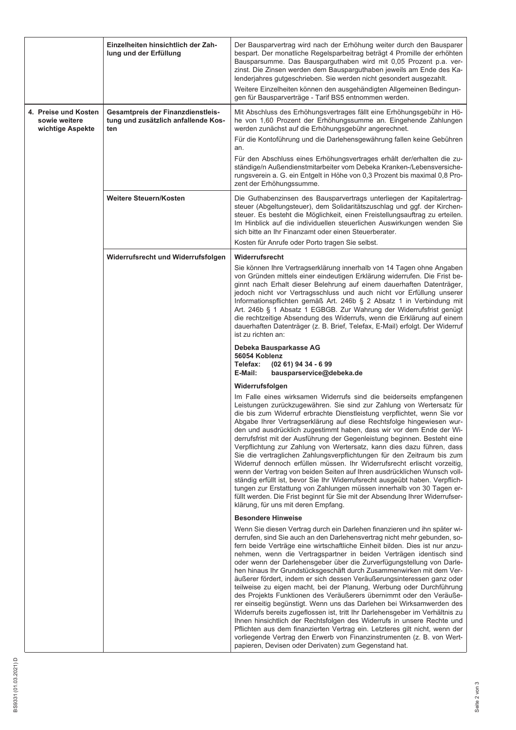|                                                           | Einzelheiten hinsichtlich der Zah-<br>lung und der Erfüllung                           | Der Bausparvertrag wird nach der Erhöhung weiter durch den Bausparer<br>bespart. Der monatliche Regelsparbeitrag beträgt 4 Promille der erhöhten<br>Bausparsumme. Das Bausparguthaben wird mit 0,05 Prozent p.a. ver-<br>zinst. Die Zinsen werden dem Bausparguthaben jeweils am Ende des Ka-<br>lenderjahres gutgeschrieben. Sie werden nicht gesondert ausgezahlt.<br>Weitere Einzelheiten können den ausgehändigten Allgemeinen Bedingun-<br>gen für Bausparverträge - Tarif BS5 entnommen werden.                                                                                                                                                                                                                                                                                                                                                                                                                                                                                                                                                                                                                                                                  |
|-----------------------------------------------------------|----------------------------------------------------------------------------------------|------------------------------------------------------------------------------------------------------------------------------------------------------------------------------------------------------------------------------------------------------------------------------------------------------------------------------------------------------------------------------------------------------------------------------------------------------------------------------------------------------------------------------------------------------------------------------------------------------------------------------------------------------------------------------------------------------------------------------------------------------------------------------------------------------------------------------------------------------------------------------------------------------------------------------------------------------------------------------------------------------------------------------------------------------------------------------------------------------------------------------------------------------------------------|
| 4. Preise und Kosten<br>sowie weitere<br>wichtige Aspekte | <b>Gesamtpreis der Finanzdienstleis-</b><br>tung und zusätzlich anfallende Kos-<br>ten | Mit Abschluss des Erhöhungsvertrages fällt eine Erhöhungsgebühr in Hö-<br>he von 1,60 Prozent der Erhöhungssumme an. Eingehende Zahlungen<br>werden zunächst auf die Erhöhungsgebühr angerechnet.<br>Für die Kontoführung und die Darlehensgewährung fallen keine Gebühren<br>an.<br>Für den Abschluss eines Erhöhungsvertrages erhält der/erhalten die zu-<br>ständige/n Außendienstmitarbeiter vom Debeka Kranken-/Lebensversiche-<br>rungsverein a. G. ein Entgelt in Höhe von 0,3 Prozent bis maximal 0,8 Pro-<br>zent der Erhöhungssumme.                                                                                                                                                                                                                                                                                                                                                                                                                                                                                                                                                                                                                         |
|                                                           | Weitere Steuern/Kosten                                                                 | Die Guthabenzinsen des Bausparvertrags unterliegen der Kapitalertrag-<br>steuer (Abgeltungsteuer), dem Solidaritätszuschlag und ggf. der Kirchen-<br>steuer. Es besteht die Möglichkeit, einen Freistellungsauftrag zu erteilen.<br>Im Hinblick auf die individuellen steuerlichen Auswirkungen wenden Sie<br>sich bitte an Ihr Finanzamt oder einen Steuerberater.<br>Kosten für Anrufe oder Porto tragen Sie selbst.                                                                                                                                                                                                                                                                                                                                                                                                                                                                                                                                                                                                                                                                                                                                                 |
|                                                           | Widerrufsrecht und Widerrufsfolgen                                                     | Widerrufsrecht<br>Sie können Ihre Vertragserklärung innerhalb von 14 Tagen ohne Angaben<br>von Gründen mittels einer eindeutigen Erklärung widerrufen. Die Frist be-<br>ginnt nach Erhalt dieser Belehrung auf einem dauerhaften Datenträger,<br>jedoch nicht vor Vertragsschluss und auch nicht vor Erfüllung unserer<br>Informationspflichten gemäß Art. 246b § 2 Absatz 1 in Verbindung mit<br>Art. 246b § 1 Absatz 1 EGBGB. Zur Wahrung der Widerrufsfrist genügt<br>die rechtzeitige Absendung des Widerrufs, wenn die Erklärung auf einem<br>dauerhaften Datenträger (z. B. Brief, Telefax, E-Mail) erfolgt. Der Widerruf<br>ist zu richten an:                                                                                                                                                                                                                                                                                                                                                                                                                                                                                                                  |
|                                                           |                                                                                        | Debeka Bausparkasse AG<br>56054 Koblenz<br>Telefax:<br>$(0261)$ 94 34 - 6 99<br>E-Mail:<br>bausparservice@debeka.de                                                                                                                                                                                                                                                                                                                                                                                                                                                                                                                                                                                                                                                                                                                                                                                                                                                                                                                                                                                                                                                    |
|                                                           |                                                                                        | Widerrufsfolgen<br>Im Falle eines wirksamen Widerrufs sind die beiderseits empfangenen<br>Leistungen zurückzugewähren. Sie sind zur Zahlung von Wertersatz für<br>die bis zum Widerruf erbrachte Dienstleistung verpflichtet, wenn Sie vor<br>Abgabe Ihrer Vertragserklärung auf diese Rechtsfolge hingewiesen wur-<br>den und ausdrücklich zugestimmt haben, dass wir vor dem Ende der Wi-<br>derrufsfrist mit der Ausführung der Gegenleistung beginnen. Besteht eine<br>Verpflichtung zur Zahlung von Wertersatz, kann dies dazu führen, dass<br>Sie die vertraglichen Zahlungsverpflichtungen für den Zeitraum bis zum<br>Widerruf dennoch erfüllen müssen. Ihr Widerrufsrecht erlischt vorzeitig,<br>wenn der Vertrag von beiden Seiten auf Ihren ausdrücklichen Wunsch voll-<br>ständig erfüllt ist, bevor Sie Ihr Widerrufsrecht ausgeübt haben. Verpflich-<br>tungen zur Erstattung von Zahlungen müssen innerhalb von 30 Tagen er-<br>füllt werden. Die Frist beginnt für Sie mit der Absendung Ihrer Widerrufser-<br>klärung, für uns mit deren Empfang.                                                                                                     |
|                                                           |                                                                                        | <b>Besondere Hinweise</b><br>Wenn Sie diesen Vertrag durch ein Darlehen finanzieren und ihn später wi-<br>derrufen, sind Sie auch an den Darlehensvertrag nicht mehr gebunden, so-<br>fern beide Verträge eine wirtschaftliche Einheit bilden. Dies ist nur anzu-<br>nehmen, wenn die Vertragspartner in beiden Verträgen identisch sind<br>oder wenn der Darlehensgeber über die Zurverfügungstellung von Darle-<br>hen hinaus Ihr Grundstücksgeschäft durch Zusammenwirken mit dem Ver-<br>äußerer fördert, indem er sich dessen Veräußerungsinteressen ganz oder<br>teilweise zu eigen macht, bei der Planung, Werbung oder Durchführung<br>des Projekts Funktionen des Veräußerers übernimmt oder den Veräuße-<br>rer einseitig begünstigt. Wenn uns das Darlehen bei Wirksamwerden des<br>Widerrufs bereits zugeflossen ist, tritt Ihr Darlehensgeber im Verhältnis zu<br>Ihnen hinsichtlich der Rechtsfolgen des Widerrufs in unsere Rechte und<br>Pflichten aus dem finanzierten Vertrag ein. Letzteres gilt nicht, wenn der<br>vorliegende Vertrag den Erwerb von Finanzinstrumenten (z. B. von Wert-<br>papieren, Devisen oder Derivaten) zum Gegenstand hat. |